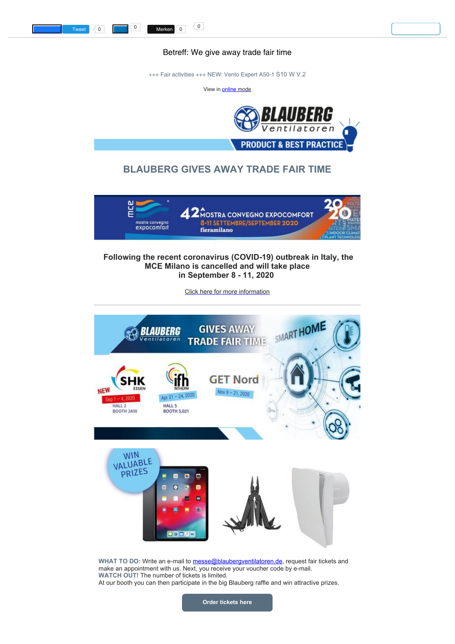Betreff: We give away trade fair time

<span id="page-0-0"></span>+++ Fair activities +++ NEW: Vento Expert A50-1 S10 W V.2

View in **online** mode



## **BLAUBERG GIVES AWAY TRADE FAIR TIME**



## **Following the recent coronavirus (COVID-19) outbreak in Italy, the MCE Milano is cancelled and will take place in September 8 - 11, 2020**

[Click here for more information](https://blaubergventilatoren.de/en/news/article/mostra-2020-is-postponed-to-september-8-11?utm_source=getresponse&utm_medium=email&utm_campaign=addresses&utm_content=We%20give%20away%20trade%20fair%20time)



WHAT TO DO: Write an e-mail to [messe@blaubergventilatoren.de](mailto:messe@blaubergventilatoren.de), request fair tickets and make an appointment with us. Next, you receive your voucher code by e-mail. **WATCH OUT!** The number of tickets is limited. At our booth you can then participate in the big Blauberg raffle and win attractive prizes.

**[Order tickets here](mailto:messe@blaubergventilatoren.de)**